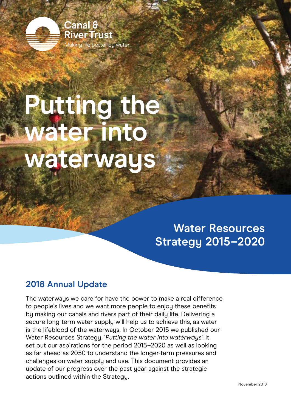

# **Putting the water into waterways**

# **Water Resources Strategy 2015–2020**

### **2018 Annual Update**

The waterways we care for have the power to make a real difference to people's lives and we want more people to enjoy these benefits by making our canals and rivers part of their daily life. Delivering a secure long-term water supply will help us to achieve this, as water is the lifeblood of the waterways. In October 2015 we published our Water Resources Strategy, '*Putting the water into waterways*'. It set out our aspirations for the period 2015–2020 as well as looking as far ahead as 2050 to understand the longer-term pressures and challenges on water supply and use. This document provides an update of our progress over the past year against the strategic actions outlined within the Strategy.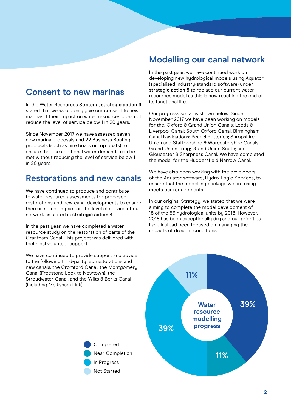### **Consent to new marinas**

In the Water Resources Strategy, **strategic action 3** stated that we would only give our consent to new marinas if their impact on water resources does not reduce the level of service below 1 in 20 years.

Since November 2017 we have assessed seven new marina proposals and 22 Business Boating proposals (such as hire boats or trip boats) to ensure that the additional water demands can be met without reducing the level of service below 1 in 20 years.

#### **Restorations and new canals**

We have continued to produce and contribute to water resource assessments for proposed restorations and new canal developments to ensure there is no net impact on the level of service of our network as stated in **strategic action 4**.

In the past year, we have completed a water resource study on the restoration of parts of the Grantham Canal. This project was delivered with technical volunteer support.

We have continued to provide support and advice to the following third-party led restorations and new canals: the Cromford Canal; the Montgomery Canal (Freestone Lock to Newtown); the Stroudwater Canal; and the Wilts & Berks Canal (including Melksham Link).

#### **Modelling our canal network**

In the past year, we have continued work on developing new hydrological models using Aquator (specialised industry-standard software) under **strategic action 5** to replace our current water resources model as this is now reaching the end of its functional life.

Our progress so far is shown below. Since November 2017 we have been working on models for the: Oxford & Grand Union Canals; Leeds & Liverpool Canal; South Oxford Canal; Birmingham Canal Navigations; Peak & Potteries; Shropshire Union and Staffordshire & Worcestershire Canals: Grand Union Tring; Grand Union South; and Gloucester & Sharpness Canal. We have completed the model for the Huddersfield Narrow Canal.

We have also been working with the developers of the Aquator software, Hydro-Logic Services, to ensure that the modelling package we are using meets our requirements.

In our original Strategy, we stated that we were aiming to complete the model development of 18 of the 53 hydrological units by 2018. However, 2018 has been exceptionally dry and our priorities have instead been focused on managing the impacts of drought conditions.



Completed Near Completion In Progress Not Started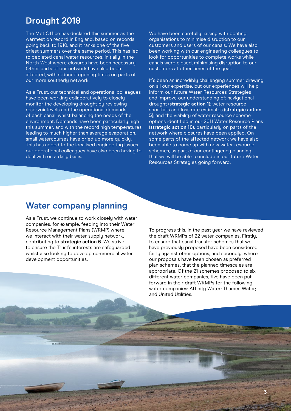#### **Drought 2018**

The Met Office has declared this summer as the warmest on record in England, based on records going back to 1910, and it ranks one of the five driest summers over the same period. This has led to depleted canal water resources, initially in the North West where closures have been necessary. Other parts of our network have also been affected, with reduced opening times on parts of our more southerly network.

As a Trust, our technical and operational colleagues have been working collaboratively to closely monitor the developing drought by reviewing reservoir levels and the operational demands of each canal, whilst balancing the needs of the environment. Demands have been particularly high this summer, and with the record high temperatures leading to much higher than average evaporation, small watercourses have dried up more quickly. This has added to the localised engineering issues our operational colleagues have also been having to deal with on a daily basis.

We have been carefully liaising with boating organisations to minimise disruption to our customers and users of our canals. We have also been working with our engineering colleagues to look for opportunities to complete works while canals were closed, minimising disruption to our customers at other times of the year.

It's been an incredibly challenging summer drawing on all our expertise, but our experiences will help inform our future Water Resources Strategies and improve our understanding of: navigational drought (**strategic action 1**); water resource shortfalls and loss rate estimates (**strategic action 5**); and the viabilitu of water resource scheme options identified in our 2011 Water Resource Plans (**strategic action 10**); particularly on parts of the network where closures have been applied. On some parts of the affected network we have also been able to come up with new water resource schemes, as part of our contingency planning, that we will be able to include in our future Water Resources Strategies going forward.

#### **Water company planning**

As a Trust, we continue to work closely with water companies, for example, feeding into their Water Resource Management Plans (WRMP) where we interact with their water supply network, contributing to **strategic action 6**. We strive to ensure the Trust's interests are safeguarded whilst also looking to develop commercial water development opportunities.

To progress this, in the past year we have reviewed the draft WRMPs of 22 water companies. Firstly, to ensure that canal transfer schemes that we have previously proposed have been considered fairly against other options, and secondly, where our proposals have been chosen as preferred plan schemes, that the planned timescales are appropriate. Of the 21 schemes proposed to six different water companies, five have been put forward in their draft WRMPs for the following water companies: Affinity Water; Thames Water; and United Utilities.

**3**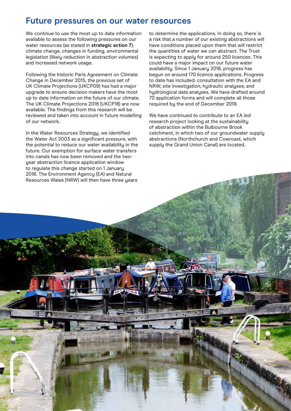#### **Future pressures on our water resources**

We continue to use the most up to date information available to assess the following pressures on our water resources (as stated in **strategic action 7**): climate change, changes in funding, environmental legislation (likely reduction in abstraction volumes) and increased network usage.

Following the historic Paris Agreement on Climate Change in December 2015, the previous set of UK Climate Projections (UKCP09) has had a major upgrade to ensure decision makers have the most up to date information on the future of our climate. The UK Climate Projections 2018 (UKCP18) are now available. The findings from this research will be reviewed and taken into account in future modelling of our network.

In the Water Resources Strategy, we identified the Water Act 2003 as a significant pressure, with the potential to reduce our water availability in the future. Our exemption for surface water transfers into canals has now been removed and the twoyear abstraction licence application window to regulate this change started on 1 January 2018. The Environment Agency (EA) and Natural Resources Wales (NRW) will then have three years

to determine the applications. In doing so, there is a risk that a number of our existing abstractions will have conditions placed upon them that will restrict the quantities of water we can abstract. The Trust is expecting to apply for around 250 licences. This could have a major impact on our future water availability. Since 1 January 2018, progress has begun on around 170 licence applications. Progress to date has included: consultation with the EA and NRW; site investigation; hudraulic analyses; and hydrological data analyses. We have drafted around 70 application forms and will complete all those required by the end of December 2019.

We have continued to contribute to an EA led research project looking at the sustainability of abstraction within the Bulbourne Brook catchment, in which two of our groundwater supply abstractions (Northchurch and Cowroast, which supply the Grand Union Canal) are located.

**4**